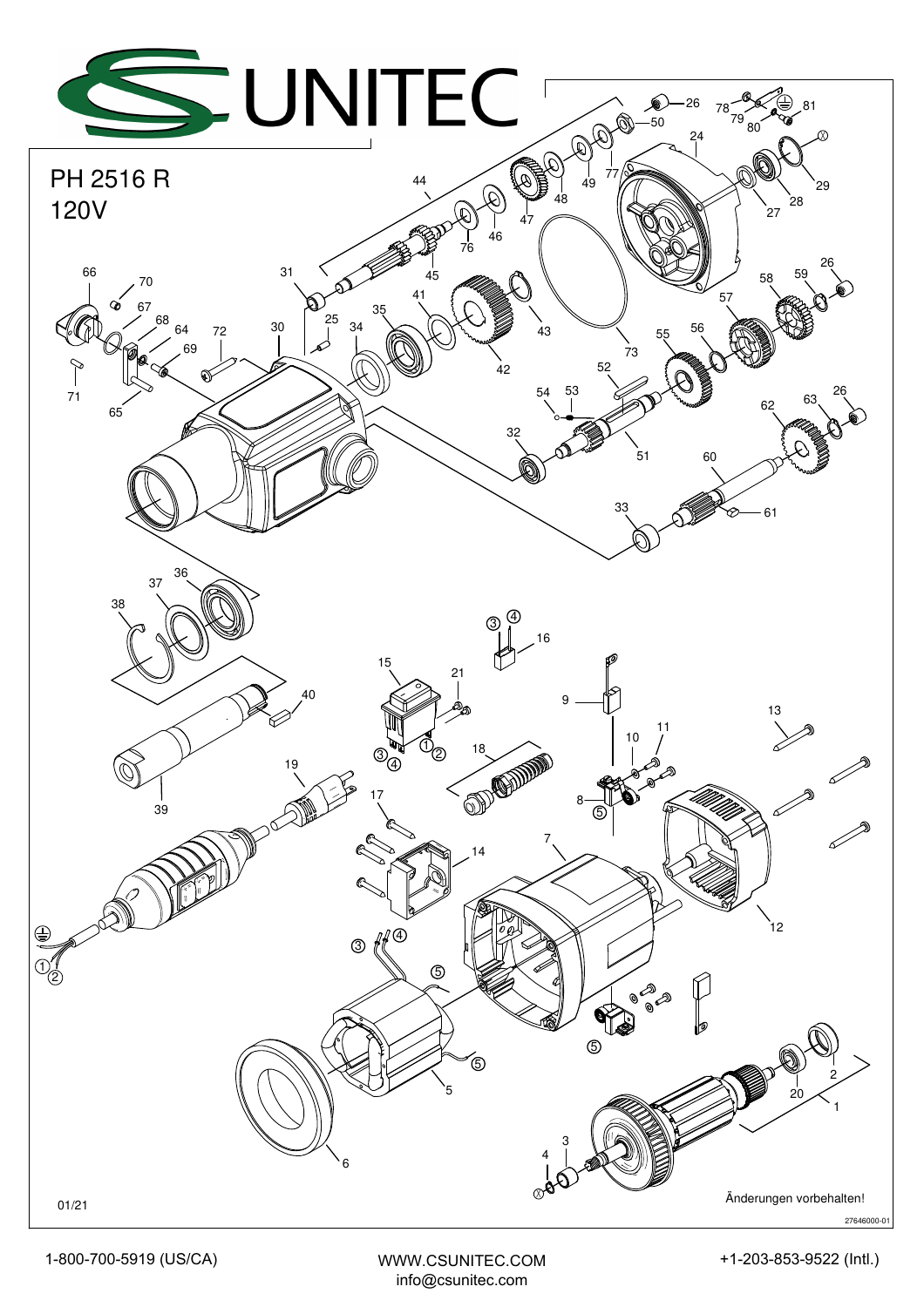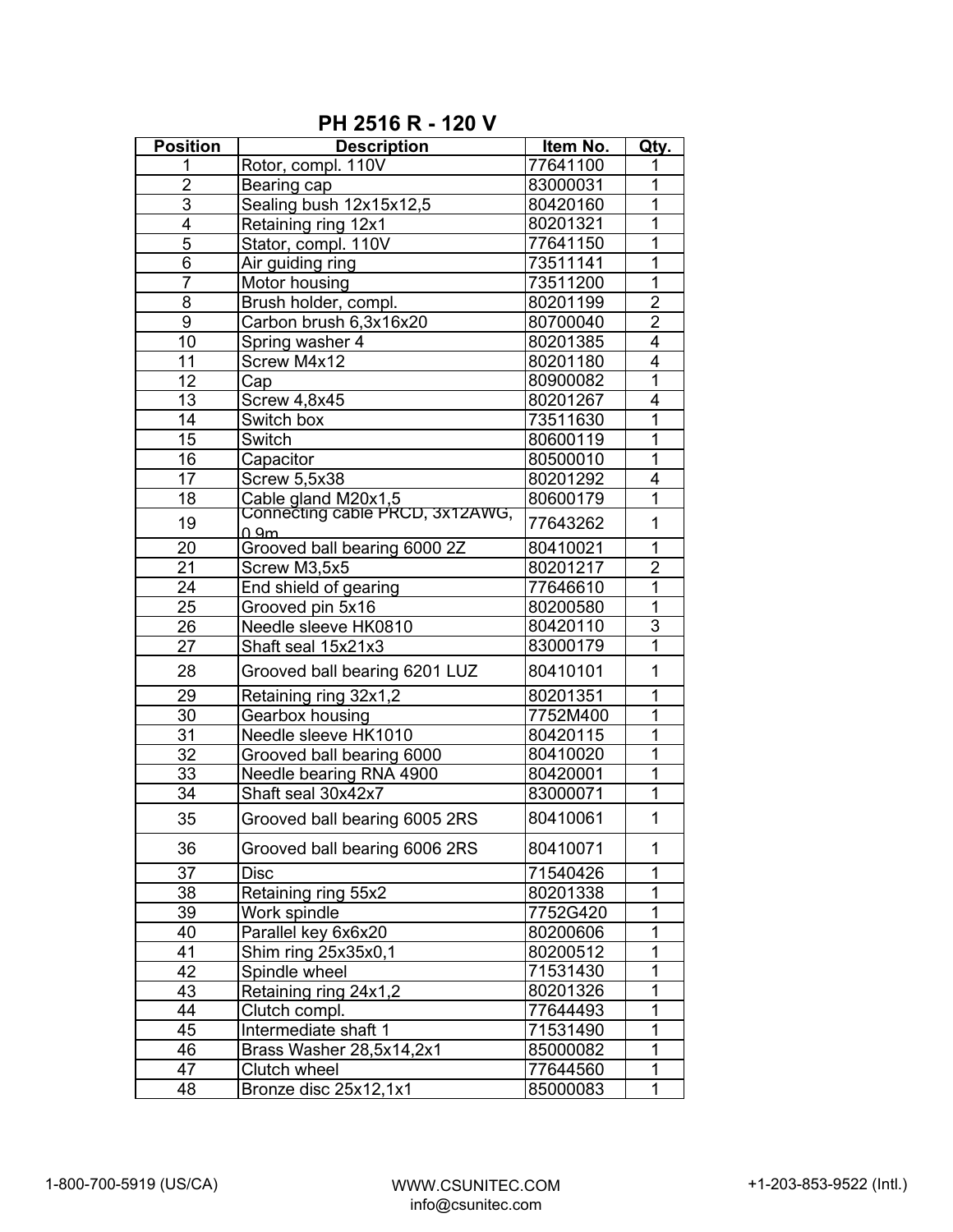| <b>Position</b> | <b>Description</b>                                     | Item No. | Qty.           |
|-----------------|--------------------------------------------------------|----------|----------------|
| 1               | Rotor, compl. 110V                                     | 77641100 | 1              |
| $\overline{2}$  | Bearing cap                                            | 83000031 | 1              |
| 3               | Sealing bush 12x15x12,5                                | 80420160 | 1              |
| 4               | Retaining ring 12x1                                    | 80201321 | $\overline{1}$ |
| 5               | Stator, compl. 110V                                    | 77641150 | 1              |
| 6               | Air guiding ring                                       | 73511141 | 1              |
| $\overline{7}$  | Motor housing                                          | 73511200 | $\overline{1}$ |
| $\overline{8}$  | Brush holder, compl.                                   | 80201199 | $\overline{2}$ |
| $\overline{9}$  | Carbon brush 6,3x16x20                                 | 80700040 | $\overline{2}$ |
| 10              | Spring washer 4                                        | 80201385 | $\overline{4}$ |
| 11              | Screw M4x12                                            | 80201180 | $\overline{4}$ |
| 12              | Cap                                                    | 80900082 | $\overline{1}$ |
| 13              | Screw 4,8x45                                           | 80201267 | 4              |
| 14              | Switch box                                             | 73511630 | $\overline{1}$ |
| 15              | Switch                                                 | 80600119 | $\overline{1}$ |
| 16              | Capacitor                                              | 80500010 | 1              |
| 17              | <b>Screw 5,5x38</b>                                    | 80201292 | $\overline{4}$ |
| 18              | Cable gland M20x1,5<br>Connecting cable PRCD, 3x12AWG, | 80600179 | 1              |
| 19              | n am                                                   | 77643262 | 1              |
| 20              | Grooved ball bearing 6000 2Z                           | 80410021 | 1              |
| 21              | Screw M3,5x5                                           | 80201217 | $\overline{2}$ |
| 24              | End shield of gearing                                  | 77646610 | $\overline{1}$ |
| $\overline{25}$ | Grooved pin 5x16                                       | 80200580 | $\overline{1}$ |
| $\overline{26}$ | Needle sleeve HK0810                                   | 80420110 | 3              |
| 27              | Shaft seal 15x21x3                                     | 83000179 | 1              |
| 28              | Grooved ball bearing 6201 LUZ                          | 80410101 | 1              |
| 29              | Retaining ring 32x1,2                                  | 80201351 | 1              |
| 30              | Gearbox housing                                        | 7752M400 | 1              |
| 31              | Needle sleeve HK1010                                   | 80420115 | 1              |
| 32              | Grooved ball bearing 6000                              | 80410020 | $\overline{1}$ |
| 33              | Needle bearing RNA 4900                                | 80420001 | 1              |
| 34              | Shaft seal 30x42x7                                     | 83000071 | $\mathbf{1}$   |
| 35              | Grooved ball bearing 6005 2RS                          | 80410061 | $\mathbf{1}$   |
| 36              | Grooved ball bearing 6006 2RS                          | 80410071 | 1              |
| 37              | <b>Disc</b>                                            | 71540426 | 1              |
| 38              | Retaining ring 55x2                                    | 80201338 | 1              |
| 39              | Work spindle                                           | 7752G420 | 1              |
| 40              | Parallel key 6x6x20                                    | 80200606 | 1              |
| 41              | Shim ring 25x35x0,1                                    | 80200512 | 1              |
| 42              | Spindle wheel                                          | 71531430 | 1              |
| 43              | Retaining ring 24x1,2                                  | 80201326 | 1              |
| 44              | Clutch compl.                                          | 77644493 | 1              |
| 45              | Intermediate shaft 1                                   | 71531490 | $\overline{1}$ |
| 46              | Brass Washer 28,5x14,2x1                               | 85000082 | 1              |
| 47              | Clutch wheel                                           | 77644560 | 1              |
| 48              | Bronze disc 25x12,1x1                                  | 85000083 | 1              |

**PH 2516 R - 120 V**